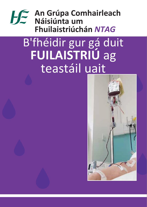## **An Grúpa Comhairleach Náisiúnta um Fhuilaistriúchán** *NTAG*

# B'fhéidir gur gá duit **FUILAISTRIÚ** ag teastáil uait

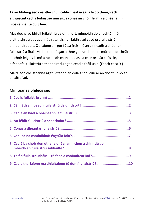**Tá an bhileog seo ceaptha chun cabhrú leatsa agus le do theaghlach a thuiscint cad is fuilaistriú ann agus conas an chóir leighis a dhéanamh níos sábháilte duit féin.**

Más dócha go bhfuil fuilaistriú de dhíth ort, míneoidh do dhochtúir nó d'altra sin duit agus an fáth atá leis. Iarrfaidh siad cead ort fuilaistriú a thabhairt duit. Ciallaíonn sin gur fútsa freisin é an cinneadh a dhéanamh fuilaistriú a fháil. Má bhíonn tú gan aithne gan urlabhra, ní mór don dochtúir an chóir leighis is mó a rachaidh chun do leasa a chur ort. Sa chás sin, d'fhéadfaí fuilaistriú a thabhairt duit gan cead a fháil uait. (Féach ceist 9.)

Má tá aon cheisteanna agat i dtaobh an eolais seo, cuir ar an dochtúir nó ar an altra iad.

#### **Mínítear sa bhileog seo**

| 7. Cad é ba chóir don othar a dhéanamh chun a chinntiú go |  |
|-----------------------------------------------------------|--|
|                                                           |  |
| 9. Cad a tharlaíonn má dhiúltaíonn tú don fhuilaistriú?10 |  |
|                                                           |  |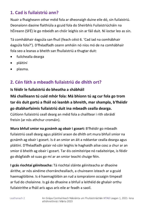## <span id="page-2-0"></span>**1. Cad is fuilaistriú ann?**

Nuair a fhaigheann othar méid fola ar dheonaigh duine eile dó, sin fuilaistriú. Deonaíonn daoine flaithiúla a gcuid fola do Sheirbhís Fuilaistriúcháin na hÉireann (SFÉ) le go mbeidh an chóir leighis sin ar fáil duit. Ní íoctar leo as sin.

Tá comhábhair éagsúla san fhuil (feach céist 6. 'Cad iad na comhábhair éagsúla fola?'). D'fhéadfadh ceann amháin nó níos mó de na comhábhair fola seo a leanas a bheith san fhuilaistriú a thugtar duit:

- fuilchealla dearga
- pláitíní
- plasma.

## <span id="page-2-1"></span>**2. Cén fáth a mbeadh fuilaistriú de dhíth ort?**

#### **Is féidir le fuilaistriú do bheatha a shábháil**

**Má chailleann tú cuid mhór fola: Má bhíonn tú ag cur fola go trom tar éis duit gortú a fháil nó leanbh a bhreith, mar shampla, b'fhéidir go dtabharfaimis fuilaistriú duit ina mbeadh cealla dearga.**

Cúitíonn fuilaistriú ceall dearg an méid fola a chailltear i rith obráidí freisin (ar nós athchur cromáin).

**Mura bhfuil smior na gcnámh ag obair i gceart:** B'fhéidir go mbeadh fuilaistriú ceall dearg agus pláitíní araon de dhíth ort mura bhfuil smior na gcnámh ag obair i gceart. Is é an smior an áit a ndéantar cealla dearga agus pláitíní. D'fhéadfadh galair nó cóir leighis le haghaidh ailse cosc a chur ar an smior ó bheith ag obair i gceart. Tar éis ceimiteiripe nó radaiteiripe, is féidir go dtógfaidh sé suas go mí ar an smior teacht chuige féin.

**I gcás riochtaí géiniteacha:** Tá riochtaí sláinte géiniteacha ar dhaoine áirithe, ar nós ainéime chorráncheallach, a chuireann isteach ar a gcuid haemaglóibine. Is é haemaglóibin an rud a iompraíonn ocsaigin timpeall ar fud do cholainne. Is gá do dhaoine a bhfuil a leithéid de ghalair orthu fuilaistrithe a fháil arís agus arís eile ar feadh a saoil.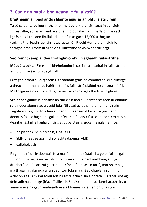## <span id="page-3-0"></span>**3. Cad é an baol a bhaineann le fuilaistriú?**

#### **Braitheann an baol ar do shláinte agus ar an bhfuilaistriú féin**

Tá sé coitianta go leor frithghníomhú éadrom a bheith agat in aghaidh fuilaistrithe, ach is annamh é a bheith díobhálach - ní tharlaíonn sin ach i gcás níos lú ná aon fhuilaistriú amháin as gach 17,000 a thugtar. (Léigh a thuilleadh faoi sin i dtuarascáil ón Ríocht Aontaithe maidir le frithghníomhú trom in aghaidh fuilaistrithe ar www.shotuk.org)

#### **Seo roinnt samplaí den fhrithghníomhú in aghaidh fuilaistrithe**

**Méadú teochta:** Sin é an frithghníomhú is coitianta in aghaidh fuilaistrithe ach bíonn sé éadrom de ghnáth.

**Frithghníomhú ailléirgeach:** D'fhéadfadh gríos nó comharthaí eile ailléirge a theacht ar dhuine go háirithe tar éis fuilaistriú pláitíní nó plasma a fháil. Má thagann sin ort, is féidir go gcuirfí ar réim cógas thú lena leigheas.

**Scaipeadh galair:** Is annamh an rud é sin anois. Déantar scagadh ar dhaoine sula ndeonaíonn siad a gcuid fola. Níl cead ag othair a bhfuil fuilaistriú faighte acu a gcuid fola féin a dheonú. Déanaimid tástáil ar gach aon deontas fola le haghaidh galair ar féidir le fuilaistriú a scaipeadh. Orthu sin, déantar tástáil le haghaidh víris agus baictéir is siocair le galair ar nós:

- heipitíteas (heipitíteas B, C agus E)
- SEIF (víreas easpa imdhíonachta daonna (VEID))
- gallbholgach

Faighimid réidh le deontais fola má léiríonn na tástálacha go bhfuil na galair sin iontu. Fiú agus na réamhchúraim sin ann, tá baol an-bheag ann go dtabharfaidh fuilaistriú galar duit. D'fhéadfadh sé sin tarlú, mar shampla, má thagann galar nua ar an deontóir fola sna chéad chúpla lá roimh fuil a dheonú agus murar féidir leis na tástálacha é sin a bhrath. Cuirtear síos ag deireadh na bileoige (féach Tuilleadh Eolais) ar an mbaol iarmharach sin, ós annaimhe é ná gach aimhréidh eile a bhaineann leis an bhfuilaistriú.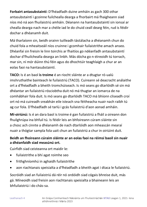**Forbairt antasubstaintí:** D'fhéadfadh duine amháin as gach 300 othar antasubstaintí i gcoinne fuilchealla dearga a fhorbairt má fhaigheann siad níos mó ná aon fhuilaistriú amháin. Déanann na hantasubstaintí sin ionsaí ar chealla dearga nach mar a chéile iad le do chuid ceall dearg féin, rud is féidir dochar a dhéanamh duit.

Má tharlaíonn sin, beidh orainn tuilleadh tástálacha a dhéanamh chun do chuid fola a mheaitseáil níos cruinne i gcomhair fuilaistrithe amach anseo. Dhéanfaí sin freisin le linn toirchis ar fhaitíos go ndéanfadh antasubstaintí dochar d'fhuilchealla dearga an linbh. Más dócha go n-éireoidh tú torrach, mar sin, ní mór dúinn thú féin agus do dhochtúir teaghlaigh a chur ar an eolas faoi na hantasubstaintí.

**TACO:** Is é an baol **is troime** é an riocht sláinte ar a dtugtar ró-ualú imshruthaithe bainteach le fuilaistriú (TACO). Cuireann sé deacracht análaithe ort a d'fhéadfadh a bheith tromchúiseach. Is mó seans go dtarlóidh sé sin má dhéantar an fuilaistriú rósciobtha duit nó má thugtar an iomarca de na comhábhair fola duit. Is mó seans go dtarlóidh TACO má bhíonn cliseadh croí ort nó má cuireadh sreabhán eile isteach sna féitheacha nuair nach raibh tú ag cur fola. D'fhéadfadh sé tarlú i gcás fuilaistriú d'aon aonad amháin.

**Mí-oiriúnú:** Is é an dara baol is troime é gan fuilaistriú a fháil a oireann don fhuilghrúpa ina bhfuil tú. Is féidir leis an bhfoireann cúram sláinte sin a chosc ach cinnte a dhéanamh de nach dtarlóidh aon mheascán mearaí nuair a thógtar sampla fola uait chun an fuilaistriú a chur in oiriúint duit.

#### **Beidh an fhoireann cúraim sláinte ar an eolas faoi na réimsí baoil sin nuair a dhéanfaidh siad measúnú ort.**

Cuirfidh siad ceisteanna ort maidir le:

- fuilaistrithe a bhí agat roimhe seo
- frithghníomhú in aghaidh fuilaistrithe
- aon riachtanais speisialta a d'fhéadfadh a bheith agat i dtaca le fuilaistriú.

Socróidh siad an fuilaistriú dá réir nó ordóidh siad cógais bhreise duit, más gá. Míneoidh siad freisin aon riachtanais speisialta a bhaineann leis an bhfuilaistriú i do chás-sa.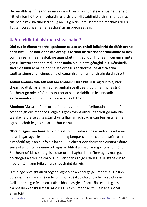De réir dhlí na hÉireann, ní mór dúinn tuairisc a chur isteach nuair a tharlaíonn frithghníomhú trom in aghaidh fuilaistrithe. Ní úsáidimid d'ainm sna tuairiscí sin. Seolaimid na tuairiscí chuig an Oifig Náisiúnta Haemafhaireachais (NHO). Tugtar 'córas haemafhaireachais' ar an bpróiseas sin.

## <span id="page-5-0"></span>**4. An féidir fuilaistriú a sheachaint?**

**Dhá rud in éineacht a thaispeánann cé acu an bhfuil fuilaistriú de dhíth ort nó nach bhfuil: na hairíonna atá ort agus torthaí tástálacha saotharlainne ar nós comhaireamh haemaglóibine agus pláitíní:** Is eol don fhoireann cúraim sláinte gan fuilaistriú a thabhairt duit ach amháin nuair atá géarghá leis. Déanfaidh siad measúnú ar na hairíonna atá ort agus ar thorthaí na dtastálacha saotharlainne chun cinneadh a dheánamh an bhfuil fuilaistriú de dhíth ort.

**Aonad amháin fola san aon am amháin:** Mura bhfuil tú ag cur fola, níor cheart go dtabharfaí ach aonad amháin ceall dearg duit mar fhuilaistriú. Ba cheart go ndéanfaí measúnú ort arís ina dhiaidh sin le cinneadh a dhéanamh an bhfuil fuilaistriú eile de dhíth ort.

**Ainéime:** Má tá ainéime ort, b'fhéidir gur leor duit forlíonadh iarainn nó cothaithigh eile mar chóir leighis. I gcás roinnt othar, b'fhéidir go mbeidh tástálacha breise ag teastáil chun a fháil amach cad is cúis leis an ainéime agus an chóir leighis cheart a chur orthu.

**Obráidí agus toircheas:** Is féidir leat roinnt rudaí a dhéanamh sula mbíonn obráid agat, agus le linn duit bheith ag iompar clainne, chun do stór iarainn a mhéadú agus an cur fola a laghdú. Ba cheart don fhoireann cúraim sláinte seiceáil an bhfuil ainéime ort agus an bhfuil an baol ann go gcuirfidh tú fuil. Ba cheart dóibh cóir leighis a chur ort le haghaidh ainéime agus, más gá, do chógais a athrú sa chaoi gur lú an seans go gcuirfidh tú fuil. **B'fhéidir** go mbeidh tú in ann fuilaistriú a sheachaint dá réir.

Is féidir go bhfaighfidh tú cógas a laghdóidh an baol go gcuirfidh tú fuil le linn obráide. Thairis sin, is féidir le roinnt ospidéal do chuid fola féin a athchúrsáil. Ciallaíonn sin gur féidir leo úsáid a bhaint as gléas 'tarrthála ceall'. Is gléas é a bhailíonn an fhuil atá tú ag cur agus a chuireann an fhuil sin ar ais ionat

#### ar an toirt.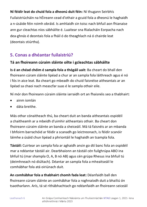**Ní féidir leat do chuid fola a dheonú duit féin:** Ní thugann Seirbhís Fuilaistriúcháin na hÉireann cead d'othair a gcuid fola a dheonú le haghaidh a n-úsáide féin roimh obráid. Is amhlaidh sin toisc nach bhfuil aon fhianaise ann gur cleachtas níos sábháilte é. Luaitear sna Rialacháin Eorpacha nach dea-ghnás é deontais fola a fháil ó do theaghlach ná ó chairde leat (deontais stiúrtha).

## <span id="page-6-0"></span>**5. Conas a dhéantar fuilaistriú?**

#### **Tá an fhoireann cúraim sláinte oilte i gcleachtas sábháilte**

**Is é an chéad chéim é sampla fola a thógáil uait:** Ba cheart do bhall den fhoireann cúram sláinte lipéad a chur ar an sampla fola láithreach agus é nó í fós in aice leat. Ba cheart go mbeadh do chuid faisnéise aitheantais ar an lipéad sa chaoi nach meascfar suas é le sampla othair eile.

Ní mór don fhoireann cúraim sláinte iarraidh ort an fhaisnéis seo a thabhairt:

- ainm iomlán
- dáta breithe.

Más othar cónaitheach thú, ba cheart duit an banda aitheantais ospidéil a chaitheamh ar a mbeidh d'uimhir aitheantais othair. Ba cheart don fhoireann cúraim sláinte an banda a sheiceáil. Má tá faisnéis ar an mbanda I bhfoirm barrachóid ar féidir a scanadh go leictreonach, is féidir scanóir láimhe a úsáid chun lipéad a phriontáil le haghaidh an tsampla fola.

**Tástáil:** Cuirtear an sampla fola ar aghaidh ansin go dtí banc fola an ospidéil mar a ndéantar tástáil air. Dearbhaíonn an tástáil cén fuilghrúpa ABO ina bhfuil tú (mar shampla O, A, B nó AB) agus cén grúpa Rhesus ina bhfuil tú (deimhneach nó diúltach). Déantar an sampla fola a mheaitseáil le comhábhar fola atá oiriúnach duit.

**An comhábhar fola a thabhairt chomh fada leat:** Déanfaidh ball den fhoireann cúram sláinte an comhábhar fola a roghnaíodh duit a bhailiú ón tsaotharlann. Arís, tá sé ríthábhachtach go ndéanfaidh an fhoireann seiceáil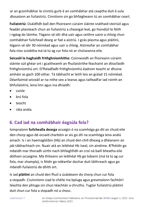ar an gcomhábhar le cinntiú gurb é an comhábhar atá ceaptha duit é sula dtosaíonn an fuilaistriú. Cinntíonn sin go bhfaigheann tú an comhábhar ceart.

**Fuilaistriú:** Úsáidfidh ball den fhoireann cúraim sláinte snáthaid steiriúil agus feadán plaisteach chun an fuilaistriú a cheangal leat, go hiondúil le féith i ngéag do láimhe. Tógann sé idir dhá uair agus ceithre uaire a chloig chun comhábhair fuilcheall dearg ar fad a aistriú. I gcás plasma agus pláitíní, tógann sé idir 30 nóiméad agus uair a chloig. Aistreofar an comhábhar fola níos sciobtha má tá tú ag cur fola nó ar chúiseanna eile.

**Seiceáil le haghaidh frithghníomhithe:** Coinneoidh an fhoireann cúraim sláinte súil ghéar ort i gcaitheamh an fhuilaistrithe féachaint an dtiocfaidh frithghníomhú ort. D'fhéadfadh frithghníomhú éadrom teacht ar dhuine amháin as gach 100 othar. Tá tábhacht ar leith leis an gcéad 15 nóiméad. Déanfaimid seiceáil ar na nithe seo a leanas agus taifeadfar iad roimh an bhfuilaistriú, lena linn agus ina dhiaidh:

- cuisle
- brú fola
- teocht
- ráta anála.

## <span id="page-7-0"></span>**6. Cad iad na comhábhair éagsúla fola?**

Iompraíonn **fuilchealla dearga** ocsaigin ó na scamhóga go dtí an chuid eile den chorp agus dé-ocsaíd charbóin ar ais go dtí na scamhóga lena análú amach. Is í an haemaglóibin (Hb) an chuid den chill dhearg a dhéanann an jab tábhachtach sin. Nuair atá an leibhéal Hb íseal, sin ainéime. B'fhéidir go mbeidh mar thoradh uirthi nach bhfaighfidh an croí ná baill bheatha eile dóthain ocsaigine. Má thiteann an leibhéal Hb go tobann (má tá tú ag cur fola, mar shampla), is féidir go ndéanfar dochar duit láithreach agus go mbeidh fuilaistriú de dhíth ort.

Is iad **pláitíní** an chuid den fhuil a úsáideann do chorp chun cur fola a stopadh. Cruinníonn siad le chéile ina bpluga agus greamaíonn fachtóirí téachta den phluga sin chun téachtán a chruthú. Tugtar fuilaistriú pláitíní duit chun cur fola a stopadh nó a chosc.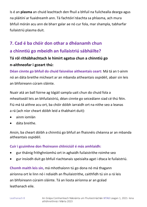Is é an **plasma** an chuid leachtach den fhuil a bhfuil na fuilchealla dearga agus na pláitíní ar fuaidreamh ann. Tá fachtóirí téachta sa phlasma, ach mura bhfuil mórán acu ann de bharr galar ae nó cur fola, mar shampla, tabharfar fuilaistriú plasma duit.

## <span id="page-8-0"></span>**7. Cad é ba chóir don othar a dhéanamh chun a chinntiú go mbeidh an fuilaistriú sábháilte?**

### **Tá ról ríthábhachtach le himirt agatsa chun a chinntiú go n-aithneofar i gceart thú:**

**Déan cinnte go bhfuil do chuid faisnéise aitheantais ceart:** Má tá an t-ainm nó an dáta breithe mícheart ar an mbanda aitheantais ospidéil, abair sin leis an bhfoireann cúram sláinte.

Nuair atá an ball foirne ag tógáil sampla uait chun do chuid fola a mheaitseáil leis an bhfuilaistriú, déan cinnte go seiceálann siad cé thú féin. Fiú má tá aithne acu ort, ba chóir dóibh iarraidh ort na nithe seo a leanas a rá (ach níor cheart dóibh leid a thabhairt duit):

- ainm iomlán
- dáta breithe.

Ansin, ba cheart dóibh a chinntiú go bhfuil an fhaisnéis chéanna ar an mbanda aitheantais ospidéil.

#### **Cuir i gcuimhne don fhoireann chliniciúil é más amhlaidh:**

- gur tháinig frithghníomhú ort in aghaidh fuilaistrithe roimhe seo
- gur insíodh duit go bhfuil riachtanais speisialta agat i dtaca le fuilaistriú.

**Chomh maith leis sin,** má mhothaíonn tú go dona nó má thagann airíonna ort le linn nó i ndiaidh an fhuilaistrithe, caithfidh tú sin a rá leis an bhfoireann cúraim sláinte. Tá an liosta airíonna ar an gcéad leathanach eile.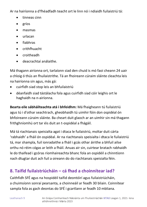Ar na hairíonna a d'fhéadfadh teacht ort le linn nó i ndiaidh fuilaistriú tá:

- tinneas cinn
- gríos
- masmas
- urlacan
- fiabhras
- crithfhuacht
- croitheadh
- deacrachtaí análaithe.

Má thagann airíonna ort, tarlaíonn siad den chuid is mó faoi cheann 24 uair a chloig ó thús an fhuilaistrithe. Tá an fhoireann cúraim sláinte cleachta leis na hairíonna sin agus, más gá:

- cuirfidh siad stop leis an bhfuilaistriú
- déanfaidh siad tástálacha fola agus cuirfidh siad cóir leighis ort le haghaidh na n-airíonna.

**Bearta eile sábháilteachta atá i bhfeidhm:** Má fhaigheann tú fuilaistriú agus tú i d'othar seachtrach, gheobhaidh tú uimhir fóin don ospidéal ón bhfoireann cúraim sláinte. Ba cheart duit glaoch ar an uimhir sin má thagann frithghníomhú ort tar éis duit an t-ospidéal a fhágáil.

Má tá riachtanais speisialta agat i dtaca le fuilaistriú, moltar duit cárta 'rabhaidh' a fháil ón ospidéal. Ar na riachtanais speisialta i dtaca le fuilaistriú tá, mar shampla, fuil ionradaithe a fháil i gcás othar áirithe a bhfuil ailse orthu nó réim cógas ar leith a fháil. Anuas air sin, cuirtear bratach rabhaidh le do thaifead i gcóras ríomhaireachta bhanc fola an ospidéil a chinntíonn nach dtugtar duit ach fuil a oireann do do riachtanais speisialta féin.

## <span id="page-9-0"></span>**8. Taifid fuilaistriúcháin – cá fhad a choinnítear iad?**

Caithfidh SFÉ agus na hospidéil taifid deontóirí agus fuilaistriúcháin, a chuimsíonn sonraí pearsanta, a choinneáil ar feadh 30 bliain. Coinnítear sampla fola as gach deontas do SFÉ i gcartlann ar feadh 10 mbliana.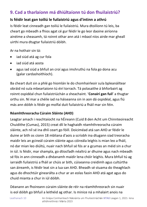## <span id="page-10-0"></span>**9. Cad a tharlaíonn má dhiúltaíonn tú don fhuilaistriú?**

#### **Is féidir leat gan toiliú le fuilaistriú agus d'intinn a athrú**

Is féidir leat cinneadh gan toiliú le fuilaistriú. Mura dtoilíonn tú leis, ba cheart go mbeadh a fhios agat cé gur féidir le go leor daoine airíonna ainéime a sheasamh, tá roinnt othar ann atá i mbaol níos airde mar gheall uirthi mura dtugtar fuilaistriú dóibh.

Ar na hothair sin tá:

- iad siúd atá ag cur fola
- iad siúd atá aosta
- agus iad siúd a bhfuil an croí agus imshruthú na fola go dona acu (galar cardashoithíoch).

Ba cheart duit sin a phlé go hiomlán le do chomhairleoir sula bpleanáiltear obráid nó sula mbeartaíonn tú éirí torrach. Tá polasaithe á bhforbairt ag roinnt ospidéal chun fuilaistriúchán a sheachaint. '**Conairí gan fuil**' a thugtar orthu sin. Ní mar a chéile iad na háiseanna sin in aon dá ospidéal, agus fiú más ann dóibh is féidir go molfaí duit fuilaistriú a fháil mar sin féin.

#### **Réamhthreoracha Cúraim Sláinte (AHD)**

Leagtar amach i reachtaíocht na hÉireann (Cuid 8 den Acht um Chinnteoireacht Chuidithe (Cumas), 2015) creat dlí le haghaidh réamhthreoracha cúraim sláinte, ach níl sé ina dhlí ceart go fóill. Doiciméad atá san AHD ar féidir le duine ar bith os cionn 18 mbliana d'aois a scríobh ina dtugann siad treoracha maidir leis an gcineál cúraim sláinte agus cóireála leighis is mian leo a fháil, nó dar mian leo diúltú, nuair nach bhfuil sé fós ar a gcumas an méid sin a chur in iúl. Is féidir, mar shampla, go dtiocfadh néaltrú ar dhuine agus nach mbeadh sé fós in ann cinneadh a dhéanamh maidir lena chóir leighis. Mura bhfuil tú ag iarraidh fuilaistriú a fháil ar chúis ar bith, cúiseanna creidimh agus cultúrtha san áireamh, is féidir leat sin a lua san AHD. Bheadh sé stuama do theaghlach agus do dhochtúir ginearálta a chur ar an eolas faoin AHD atá agat agus do chuid mianta a chur in iúl dóibh.

Déanann an fhoireann cúraim sláinte de réir na réamhthreorach sin nuair is eol dóibh go bhfuil a leithéid ag othar. Is minice ná a mhalairt anois na